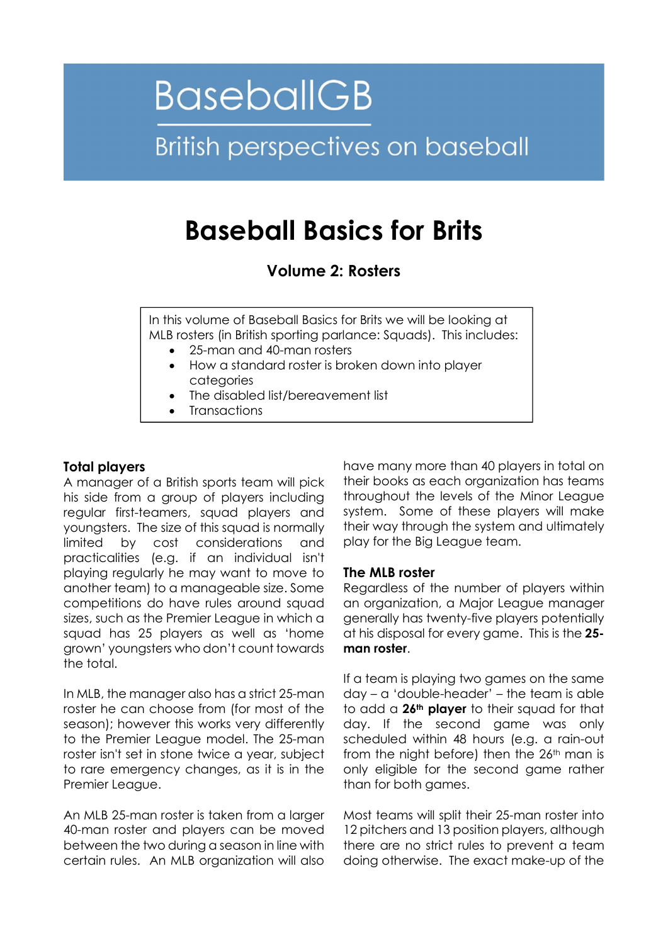# **BaseballGB British perspectives on baseball**

# Baseball Basics for Brits

Volume 2: Rosters

In this volume of Baseball Basics for Brits we will be looking at MLB rosters (in British sporting parlance: Squads). This includes:

- 25-man and 40-man rosters
- How a standard roster is broken down into player categories
- The disabled list/bereavement list
- Transactions

# Total players

A manager of a British sports team will pick his side from a group of players including regular first-teamers, squad players and youngsters. The size of this squad is normally limited by cost considerations and practicalities (e.g. if an individual isn't playing regularly he may want to move to another team) to a manageable size. Some competitions do have rules around squad sizes, such as the Premier League in which a squad has 25 players as well as 'home grown' youngsters who don't count towards the total.

In MLB, the manager also has a strict 25-man roster he can choose from (for most of the season); however this works very differently to the Premier League model. The 25-man roster isn't set in stone twice a year, subject to rare emergency changes, as it is in the Premier League.

An MLB 25-man roster is taken from a larger 40-man roster and players can be moved between the two during a season in line with certain rules. An MLB organization will also have many more than 40 players in total on their books as each organization has teams throughout the levels of the Minor League system. Some of these players will make their way through the system and ultimately play for the Big League team.

# The MLB roster

Regardless of the number of players within an organization, a Major League manager generally has twenty-five players potentially at his disposal for every game. This is the 25 man roster.

If a team is playing two games on the same day – a 'double-header' – the team is able to add a 26<sup>th</sup> player to their squad for that day. If the second game was only scheduled within 48 hours (e.g. a rain-out from the night before) then the 26<sup>th</sup> man is only eligible for the second game rather than for both games.

Most teams will split their 25-man roster into 12 pitchers and 13 position players, although there are no strict rules to prevent a team doing otherwise. The exact make-up of the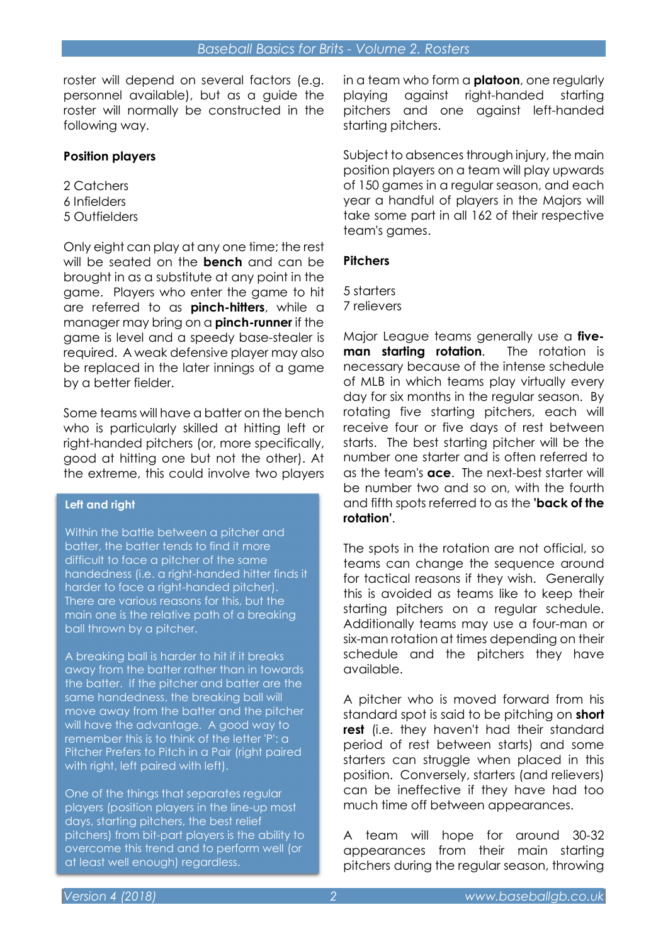roster will depend on several factors (e.g. personnel available), but as a guide the roster will normally be constructed in the following way.

## Position players

2 Catchers 6 Infielders 5 Outfielders

Only eight can play at any one time; the rest will be seated on the **bench** and can be brought in as a substitute at any point in the game. Players who enter the game to hit are referred to as **pinch-hitters**, while a manager may bring on a **pinch-runner** if the game is level and a speedy base-stealer is required. A weak defensive player may also be replaced in the later innings of a game by a better fielder.

Some teams will have a batter on the bench who is particularly skilled at hitting left or right-handed pitchers (or, more specifically, good at hitting one but not the other). At the extreme, this could involve two players

#### Left and right

Within the battle between a pitcher and batter, the batter tends to find it more difficult to face a pitcher of the same handedness (i.e. a right-handed hitter finds it harder to face a right-handed pitcher). There are various reasons for this, but the main one is the relative path of a breaking ball thrown by a pitcher.

A breaking ball is harder to hit if it breaks away from the batter rather than in towards the batter. If the pitcher and batter are the same handedness, the breaking ball will move away from the batter and the pitcher will have the advantage. A good way to remember this is to think of the letter 'P': a Pitcher Prefers to Pitch in a Pair (right paired with right, left paired with left).

One of the things that separates regular players (position players in the line-up most days, starting pitchers, the best relief pitchers) from bit-part players is the ability to overcome this trend and to perform well (or at least well enough) regardless.

in a team who form a **platoon**, one regularly playing against right-handed starting pitchers and one against left-handed starting pitchers.

Subject to absences through injury, the main position players on a team will play upwards of 150 games in a regular season, and each year a handful of players in the Majors will take some part in all 162 of their respective team's games.

# **Pitchers**

5 starters

7 relievers

Major League teams generally use a fiveman starting rotation. The rotation is necessary because of the intense schedule of MLB in which teams play virtually every day for six months in the regular season. By rotating five starting pitchers, each will receive four or five days of rest between starts. The best starting pitcher will be the number one starter and is often referred to as the team's **ace**. The next-best starter will be number two and so on, with the fourth and fifth spots referred to as the **'back of the** rotation'.

The spots in the rotation are not official, so teams can change the sequence around for tactical reasons if they wish. Generally this is avoided as teams like to keep their starting pitchers on a regular schedule. Additionally teams may use a four-man or six-man rotation at times depending on their schedule and the pitchers they have available.

A pitcher who is moved forward from his standard spot is said to be pitching on **short** rest (i.e. they haven't had their standard period of rest between starts) and some starters can struggle when placed in this position. Conversely, starters (and relievers) can be ineffective if they have had too much time off between appearances.

A team will hope for around 30-32 appearances from their main starting pitchers during the regular season, throwing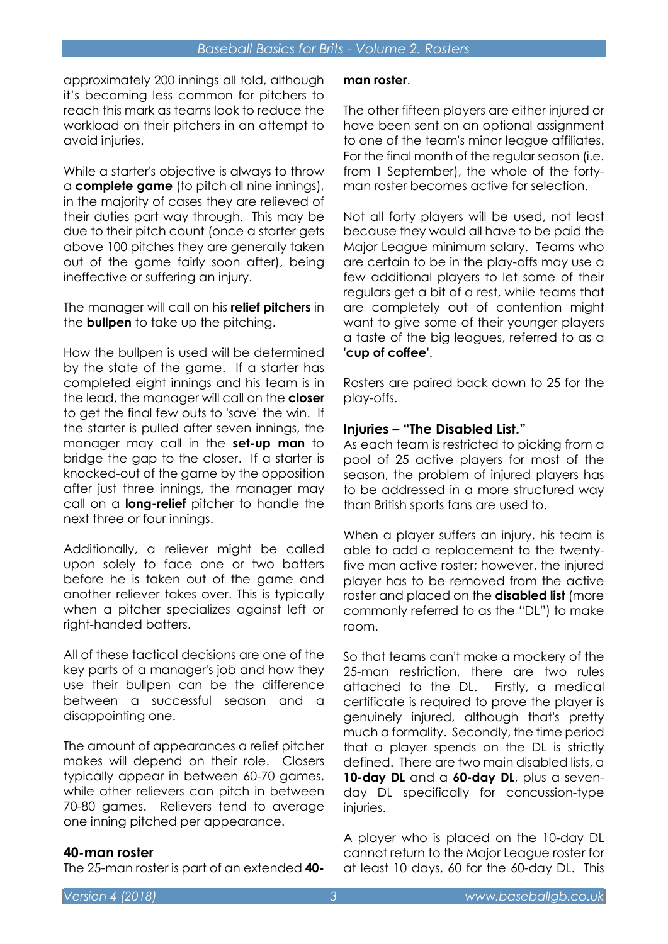approximately 200 innings all told, although it's becoming less common for pitchers to reach this mark as teams look to reduce the workload on their pitchers in an attempt to avoid injuries.

While a starter's objective is always to throw a complete game (to pitch all nine innings), in the majority of cases they are relieved of their duties part way through. This may be due to their pitch count (once a starter gets above 100 pitches they are generally taken out of the game fairly soon after), being ineffective or suffering an injury.

The manager will call on his **relief pitchers** in the **bullpen** to take up the pitching.

How the bullpen is used will be determined by the state of the game. If a starter has completed eight innings and his team is in the lead, the manager will call on the closer to get the final few outs to 'save' the win. If the starter is pulled after seven innings, the manager may call in the **set-up man** to bridge the gap to the closer. If a starter is knocked-out of the game by the opposition after just three innings, the manager may call on a **long-relief** pitcher to handle the next three or four innings.

Additionally, a reliever might be called upon solely to face one or two batters before he is taken out of the game and another reliever takes over. This is typically when a pitcher specializes against left or right-handed batters.

All of these tactical decisions are one of the key parts of a manager's job and how they use their bullpen can be the difference between a successful season and a disappointing one.

The amount of appearances a relief pitcher makes will depend on their role. Closers typically appear in between 60-70 games, while other relievers can pitch in between 70-80 games. Relievers tend to average one inning pitched per appearance.

#### 40-man roster

The 25-man roster is part of an extended 40-

#### man roster.

The other fifteen players are either injured or have been sent on an optional assignment to one of the team's minor league affiliates. For the final month of the regular season (i.e. from 1 September), the whole of the fortyman roster becomes active for selection.

Not all forty players will be used, not least because they would all have to be paid the Major League minimum salary. Teams who are certain to be in the play-offs may use a few additional players to let some of their regulars get a bit of a rest, while teams that are completely out of contention might want to give some of their younger players a taste of the big leagues, referred to as a 'cup of coffee'.

Rosters are paired back down to 25 for the play-offs.

#### Injuries – "The Disabled List."

As each team is restricted to picking from a pool of 25 active players for most of the season, the problem of injured players has to be addressed in a more structured way than British sports fans are used to.

When a player suffers an injury, his team is able to add a replacement to the twentyfive man active roster; however, the injured player has to be removed from the active roster and placed on the **disabled list** (more commonly referred to as the "DL") to make room.

So that teams can't make a mockery of the 25-man restriction, there are two rules attached to the DL. Firstly, a medical certificate is required to prove the player is genuinely injured, although that's pretty much a formality. Secondly, the time period that a player spends on the DL is strictly defined. There are two main disabled lists, a 10-day DL and a 60-day DL, plus a sevenday DL specifically for concussion-type injuries.

A player who is placed on the 10-day DL cannot return to the Major League roster for at least 10 days, 60 for the 60-day DL. This